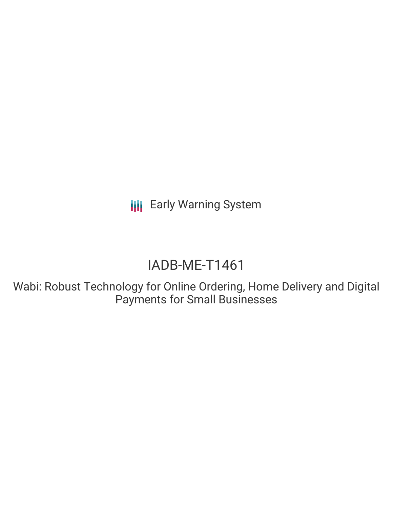**III** Early Warning System

# IADB-ME-T1461

Wabi: Robust Technology for Online Ordering, Home Delivery and Digital Payments for Small Businesses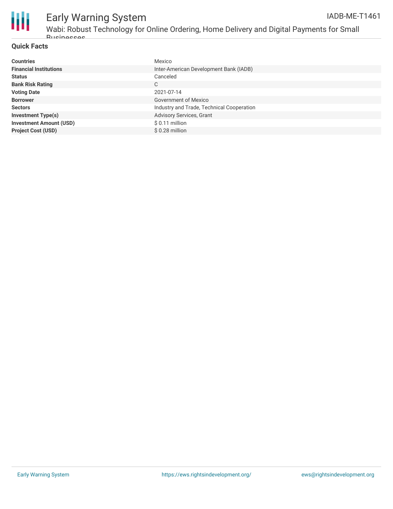

#### **Quick Facts**

**Busingssege** 

| <b>Countries</b>               | Mexico                                    |
|--------------------------------|-------------------------------------------|
| <b>Financial Institutions</b>  | Inter-American Development Bank (IADB)    |
| <b>Status</b>                  | Canceled                                  |
| <b>Bank Risk Rating</b>        | C                                         |
| <b>Voting Date</b>             | 2021-07-14                                |
| <b>Borrower</b>                | Government of Mexico                      |
| <b>Sectors</b>                 | Industry and Trade, Technical Cooperation |
| <b>Investment Type(s)</b>      | Advisory Services, Grant                  |
| <b>Investment Amount (USD)</b> | $$0.11$ million                           |
| <b>Project Cost (USD)</b>      | $$0.28$ million                           |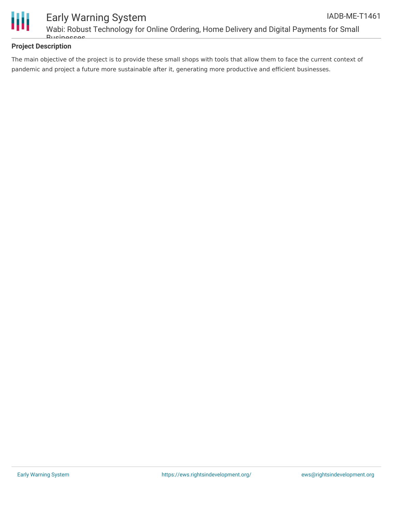

### **Project Description**

The main objective of the project is to provide these small shops with tools that allow them to face the current context of pandemic and project a future more sustainable after it, generating more productive and efficient businesses.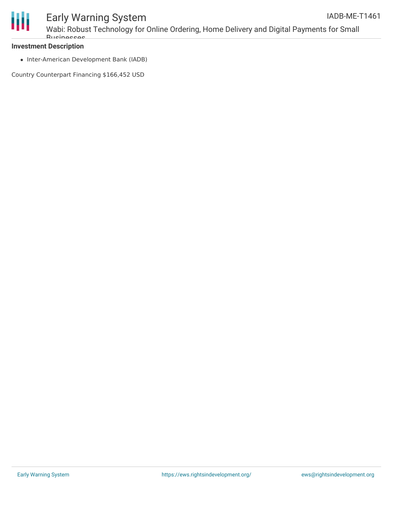

#### Early Warning System Wabi: Robust Technology for Online Ordering, Home Delivery and Digital Payments for Small **Busingssegs** IADB-ME-T1461

#### **Investment Description**

• Inter-American Development Bank (IADB)

Country Counterpart Financing \$166,452 USD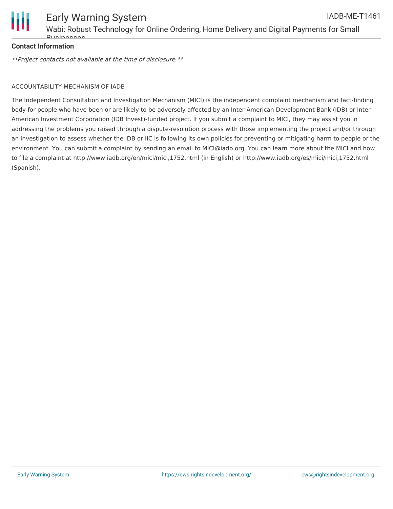

#### **Contact Information**

\*\*Project contacts not available at the time of disclosure.\*\*

#### ACCOUNTABILITY MECHANISM OF IADB

The Independent Consultation and Investigation Mechanism (MICI) is the independent complaint mechanism and fact-finding body for people who have been or are likely to be adversely affected by an Inter-American Development Bank (IDB) or Inter-American Investment Corporation (IDB Invest)-funded project. If you submit a complaint to MICI, they may assist you in addressing the problems you raised through a dispute-resolution process with those implementing the project and/or through an investigation to assess whether the IDB or IIC is following its own policies for preventing or mitigating harm to people or the environment. You can submit a complaint by sending an email to MICI@iadb.org. You can learn more about the MICI and how to file a complaint at http://www.iadb.org/en/mici/mici,1752.html (in English) or http://www.iadb.org/es/mici/mici,1752.html (Spanish).